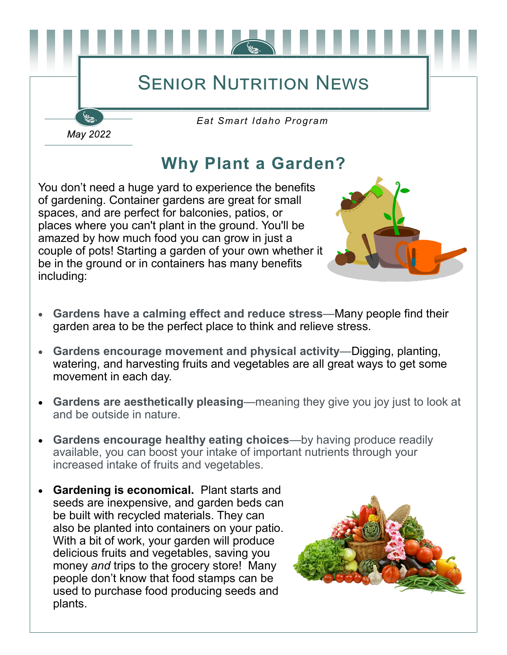## **SENIOR NUTRITION NEWS**

*Eat Smart Idaho Program*

## **Why Plant a Garden?**

You don't need a huge yard to experience the benefits of gardening. Container gardens are great for small spaces, and are perfect for balconies, patios, or places where you can't plant in the ground. You'll be amazed by how much food you can grow in just a couple of pots! Starting a garden of your own whether it be in the ground or in containers has many benefits including:

May 2022



- **Gardens have a calming effect and reduce stress**—Many people find their garden area to be the perfect place to think and relieve stress.
- **Gardens encourage movement and physical activity**—Digging, planting, watering, and harvesting fruits and vegetables are all great ways to get some movement in each day.
- **Gardens are aesthetically pleasing**—meaning they give you joy just to look at and be outside in nature.
- **Gardens encourage healthy eating choices**—by having produce readily available, you can boost your intake of important nutrients through your increased intake of fruits and vegetables.
- **Gardening is economical.** Plant starts and seeds are inexpensive, and garden beds can be built with recycled materials. They can also be planted into containers on your patio. With a bit of work, your garden will produce delicious fruits and vegetables, saving you money *and* trips to the grocery store! Many people don't know that food stamps can be used to purchase food producing seeds and plants.